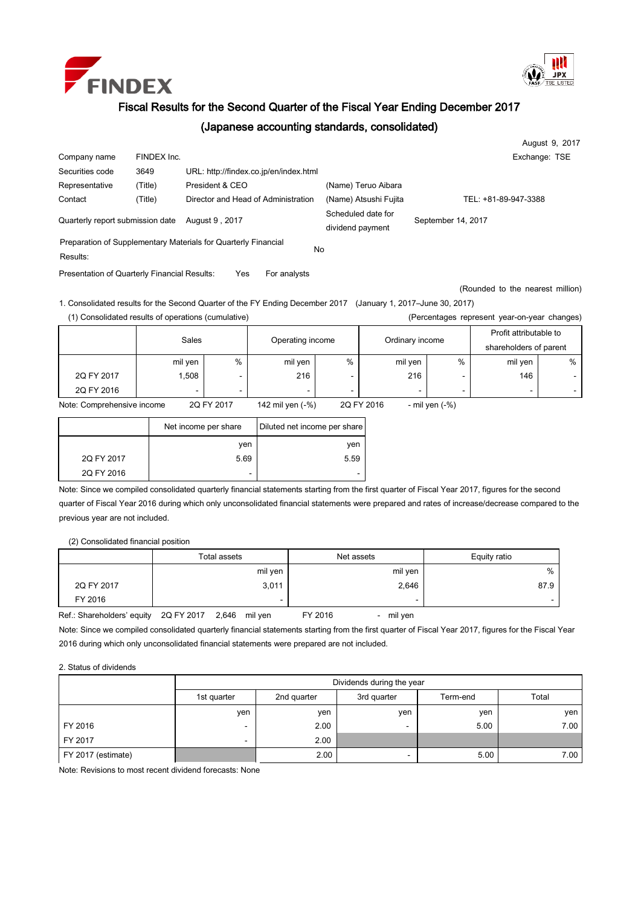



## Fiscal Results for the Second Quarter of the Fiscal Year Ending December 2017

## (Japanese accounting standards, consolidated)

|                                  |             |                                                                |                                        | August 9, 2017       |
|----------------------------------|-------------|----------------------------------------------------------------|----------------------------------------|----------------------|
| Company name                     | FINDEX Inc. |                                                                |                                        | Exchange: TSE        |
| Securities code                  | 3649        | URL: http://findex.co.jp/en/index.html                         |                                        |                      |
| Representative                   | (Title)     | President & CEO                                                | (Name) Teruo Aibara                    |                      |
| Contact                          | (Title)     | Director and Head of Administration                            | (Name) Atsushi Fujita                  | TEL: +81-89-947-3388 |
| Quarterly report submission date |             | August 9, 2017                                                 | Scheduled date for<br>dividend payment | September 14, 2017   |
| Results:                         |             | Preparation of Supplementary Materials for Quarterly Financial | No                                     |                      |

Presentation of Quarterly Financial Results: Yes For analysts

(Rounded to the nearest million)

1. Consolidated results for the Second Quarter of the FY Ending December 2017 (January 1, 2017–June 30, 2017) (1) Consolidated results of operations (cumulative) (Percentages represent year-on-year changes)

| $\mu$ or corridged represent your only can ending to $\mu$ |         |                  |                  |            |                  |   |                                                  |   |
|------------------------------------------------------------|---------|------------------|------------------|------------|------------------|---|--------------------------------------------------|---|
|                                                            | Sales   |                  | Operating income |            | Ordinary income  |   | Profit attributable to<br>shareholders of parent |   |
|                                                            | mil yen | $\%$             | mil yen          | $\%$       | mil yen          | % | mil yen                                          | % |
| 2Q FY 2017                                                 | 1,508   |                  | 216              |            | 216              |   | 146                                              |   |
| 2Q FY 2016                                                 |         |                  |                  |            |                  |   |                                                  |   |
| 2Q FY 2017<br>Note: Comprehensive income                   |         | 142 mil yen (-%) |                  | 2Q FY 2016 | - mil yen $(-%)$ |   |                                                  |   |

|            | Net income per share | Diluted net income per share |  |  |  |
|------------|----------------------|------------------------------|--|--|--|
|            | ven                  | yen                          |  |  |  |
| 2Q FY 2017 | 5.69                 | 5.59                         |  |  |  |
| 2Q FY 2016 | ۰                    | -                            |  |  |  |

Note: Since we compiled consolidated quarterly financial statements starting from the first quarter of Fiscal Year 2017, figures for the second quarter of Fiscal Year 2016 during which only unconsolidated financial statements were prepared and rates of increase/decrease compared to the previous year are not included.

(2) Consolidated financial position

|            | Total assets | Net assets | Equity ratio |
|------------|--------------|------------|--------------|
|            | mil yen      | mil yen    | %            |
| 2Q FY 2017 | 3,011        | 2,646      | 87.9         |
| FY 2016    | -            | -          |              |

Ref.: Shareholders' equity 2Q FY 2017 2,646 mil yen FY 2016 - mil yen

Note: Since we compiled consolidated quarterly financial statements starting from the first quarter of Fiscal Year 2017, figures for the Fiscal Year 2016 during which only unconsolidated financial statements were prepared are not included.

## 2. Status of dividends

|                    | Dividends during the year |             |                          |          |       |  |  |  |
|--------------------|---------------------------|-------------|--------------------------|----------|-------|--|--|--|
|                    | 1st quarter               | 2nd quarter | 3rd quarter              | Term-end | Total |  |  |  |
|                    | yen                       | ven         | ven                      | yen      | yen   |  |  |  |
| FY 2016            | -                         | 2.00        | $\overline{\phantom{0}}$ | 5.00     | 7.00  |  |  |  |
| FY 2017            | -                         | 2.00        |                          |          |       |  |  |  |
| FY 2017 (estimate) |                           | 2.00        |                          | 5.00     | 7.00  |  |  |  |

Note: Revisions to most recent dividend forecasts: None